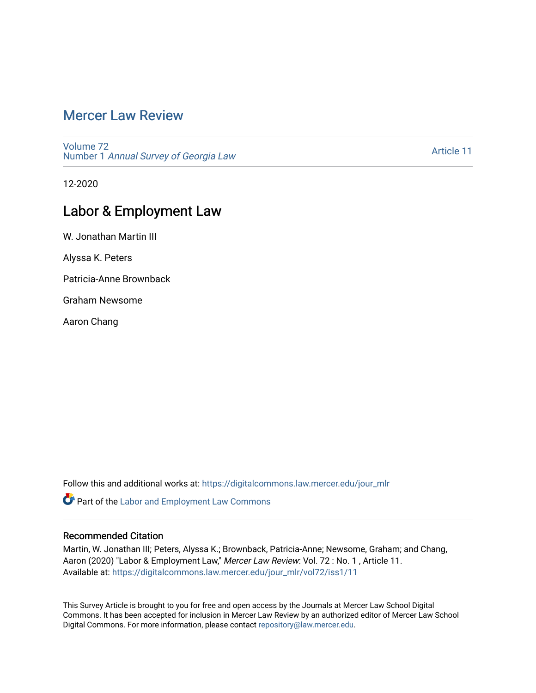# [Mercer Law Review](https://digitalcommons.law.mercer.edu/jour_mlr)

[Volume 72](https://digitalcommons.law.mercer.edu/jour_mlr/vol72) Number 1 [Annual Survey of Georgia Law](https://digitalcommons.law.mercer.edu/jour_mlr/vol72/iss1) 

[Article 11](https://digitalcommons.law.mercer.edu/jour_mlr/vol72/iss1/11) 

12-2020

## Labor & Employment Law

W. Jonathan Martin III

Alyssa K. Peters

Patricia-Anne Brownback

Graham Newsome

Aaron Chang

Follow this and additional works at: [https://digitalcommons.law.mercer.edu/jour\\_mlr](https://digitalcommons.law.mercer.edu/jour_mlr?utm_source=digitalcommons.law.mercer.edu%2Fjour_mlr%2Fvol72%2Fiss1%2F11&utm_medium=PDF&utm_campaign=PDFCoverPages)

Part of the [Labor and Employment Law Commons](http://network.bepress.com/hgg/discipline/909?utm_source=digitalcommons.law.mercer.edu%2Fjour_mlr%2Fvol72%2Fiss1%2F11&utm_medium=PDF&utm_campaign=PDFCoverPages)

## Recommended Citation

Martin, W. Jonathan III; Peters, Alyssa K.; Brownback, Patricia-Anne; Newsome, Graham; and Chang, Aaron (2020) "Labor & Employment Law," Mercer Law Review: Vol. 72: No. 1, Article 11. Available at: [https://digitalcommons.law.mercer.edu/jour\\_mlr/vol72/iss1/11](https://digitalcommons.law.mercer.edu/jour_mlr/vol72/iss1/11?utm_source=digitalcommons.law.mercer.edu%2Fjour_mlr%2Fvol72%2Fiss1%2F11&utm_medium=PDF&utm_campaign=PDFCoverPages) 

This Survey Article is brought to you for free and open access by the Journals at Mercer Law School Digital Commons. It has been accepted for inclusion in Mercer Law Review by an authorized editor of Mercer Law School Digital Commons. For more information, please contact [repository@law.mercer.edu](mailto:repository@law.mercer.edu).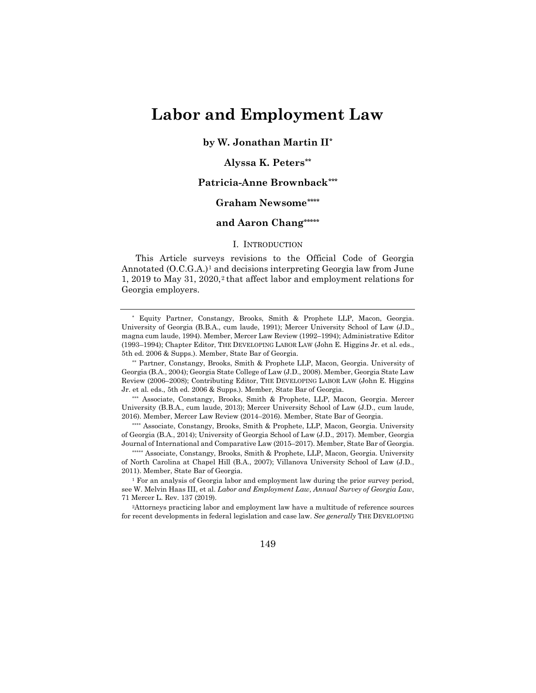# **Labor and Employment Law**

**by W. Jonathan Martin I[I\\*](#page-1-0)**

### **Alyssa K. Peters[\\*\\*](#page-1-1)**

### **Patricia-Anne Brownback[\\*\\*\\*](#page-1-2)**

## **Graham Newsome[\\*\\*\\*\\*](#page-1-3)**

## **and Aaron Chang[\\*\\*\\*\\*\\*](#page-1-4)**

#### I. INTRODUCTION

This Article surveys revisions to the Official Code of Georgia Annotated (O.C.G.A.)<sup>[1](#page-1-5)</sup> and decisions interpreting Georgia law from June 1, [2](#page-1-6)019 to May 31, 2020,<sup>2</sup> that affect labor and employment relations for Georgia employers.

<span id="page-1-0"></span>\* Equity Partner, Constangy, Brooks, Smith & Prophete LLP, Macon, Georgia. University of Georgia (B.B.A., cum laude, 1991); Mercer University School of Law (J.D., magna cum laude, 1994). Member, Mercer Law Review (1992–1994); Administrative Editor (1993–1994); Chapter Editor, THE DEVELOPING LABOR LAW (John E. Higgins Jr. et al. eds., 5th ed. 2006 & Supps.). Member, State Bar of Georgia.

<span id="page-1-1"></span>\*\* Partner, Constangy, Brooks, Smith & Prophete LLP, Macon, Georgia. University of Georgia (B.A., 2004); Georgia State College of Law (J.D., 2008). Member, Georgia State Law Review (2006–2008); Contributing Editor, THE DEVELOPING LABOR LAW (John E. Higgins Jr. et al. eds., 5th ed. 2006 & Supps.). Member, State Bar of Georgia.

<span id="page-1-2"></span>\*\*\* Associate, Constangy, Brooks, Smith & Prophete, LLP, Macon, Georgia. Mercer University (B.B.A., cum laude, 2013); Mercer University School of Law (J.D., cum laude, 2016). Member, Mercer Law Review (2014–2016). Member, State Bar of Georgia.

<span id="page-1-3"></span>\*\*\*\* Associate, Constangy, Brooks, Smith & Prophete, LLP, Macon, Georgia. University of Georgia (B.A., 2014); University of Georgia School of Law (J.D., 2017). Member, Georgia Journal of International and Comparative Law (2015–2017). Member, State Bar of Georgia.

<span id="page-1-4"></span>\*\*\*\*\*\* Associate, Constangy, Brooks, Smith & Prophete, LLP, Macon, Georgia. University of North Carolina at Chapel Hill (B.A., 2007); Villanova University School of Law (J.D., 2011). Member, State Bar of Georgia.

<span id="page-1-5"></span><sup>1</sup> For an analysis of Georgia labor and employment law during the prior survey period, see W. Melvin Haas III, et al. *Labor and Employment Law, Annual Survey of Georgia Law*, 71 Mercer L. Rev. 137 (2019).

<span id="page-1-6"></span>2Attorneys practicing labor and employment law have a multitude of reference sources for recent developments in federal legislation and case law. *See generally* THE DEVELOPING

149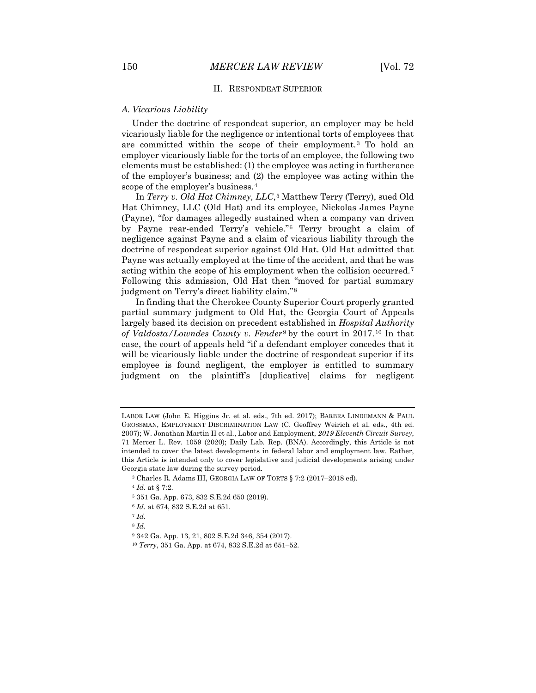#### II. RESPONDEAT SUPERIOR

#### *A. Vicarious Liability*

Under the doctrine of respondeat superior, an employer may be held vicariously liable for the negligence or intentional torts of employees that are committed within the scope of their employment.[3](#page-2-0) To hold an employer vicariously liable for the torts of an employee, the following two elements must be established: (1) the employee was acting in furtherance of the employer's business; and (2) the employee was acting within the scope of the employer's business.[4](#page-2-1)

In *Terry v. Old Hat Chimney, LLC*,[5](#page-2-2) Matthew Terry (Terry), sued Old Hat Chimney, LLC (Old Hat) and its employee, Nickolas James Payne (Payne), "for damages allegedly sustained when a company van driven by Payne rear-ended Terry's vehicle."[6](#page-2-3) Terry brought a claim of negligence against Payne and a claim of vicarious liability through the doctrine of respondeat superior against Old Hat. Old Hat admitted that Payne was actually employed at the time of the accident, and that he was acting within the scope of his employment when the collision occurred.[7](#page-2-4) Following this admission, Old Hat then "moved for partial summary judgment on Terry's direct liability claim."[8](#page-2-5)

In finding that the Cherokee County Superior Court properly granted partial summary judgment to Old Hat, the Georgia Court of Appeals largely based its decision on precedent established in *Hospital Authority of Valdosta/Lowndes County v. Fender*[9](#page-2-6) by the court in 2017.[10](#page-2-7) In that case, the court of appeals held "if a defendant employer concedes that it will be vicariously liable under the doctrine of respondeat superior if its employee is found negligent, the employer is entitled to summary judgment on the plaintiff's [duplicative] claims for negligent

<sup>6</sup> *Id.* at 674, 832 S.E.2d at 651.

<span id="page-2-6"></span><span id="page-2-5"></span><span id="page-2-4"></span><span id="page-2-3"></span><sup>7</sup> *Id.*

<sup>8</sup> *Id.*

LABOR LAW (John E. Higgins Jr. et al. eds., 7th ed. 2017); BARBRA LINDEMANN & PAUL GROSSMAN, EMPLOYMENT DISCRIMINATION LAW (C. Geoffrey Weirich et al. eds., 4th ed. 2007); W. Jonathan Martin II et al., Labor and Employment, *2019 Eleventh Circuit Survey*, 71 Mercer L. Rev. 1059 (2020); Daily Lab. Rep. (BNA). Accordingly, this Article is not intended to cover the latest developments in federal labor and employment law. Rather, this Article is intended only to cover legislative and judicial developments arising under Georgia state law during the survey period.

<span id="page-2-1"></span><span id="page-2-0"></span><sup>3</sup> Charles R. Adams III, GEORGIA LAW OF TORTS § 7:2 (2017–2018 ed).

<sup>4</sup> *Id.* at § 7:2.

<span id="page-2-2"></span><sup>5</sup> 351 Ga. App. 673, 832 S.E.2d 650 (2019).

<sup>9</sup> 342 Ga. App. 13, 21, 802 S.E.2d 346, 354 (2017).

<span id="page-2-7"></span><sup>10</sup> *Terry*, 351 Ga. App. at 674, 832 S.E.2d at 651–52.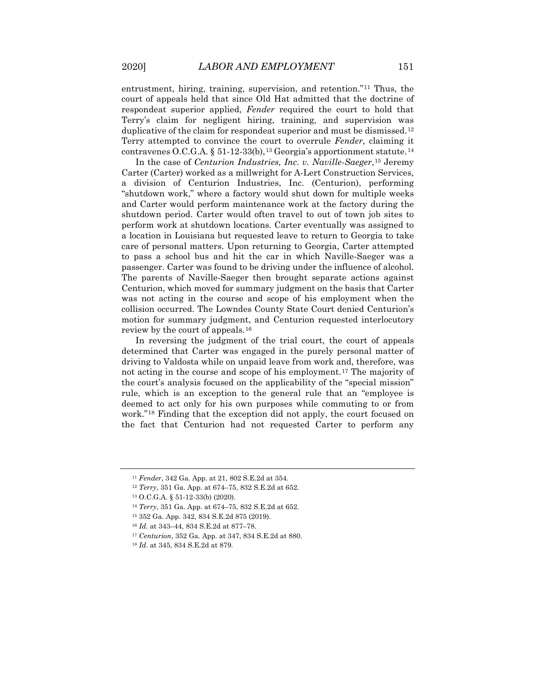entrustment, hiring, training, supervision, and retention."[11](#page-3-0) Thus, the court of appeals held that since Old Hat admitted that the doctrine of respondeat superior applied, *Fender* required the court to hold that Terry's claim for negligent hiring, training, and supervision was duplicative of the claim for respondeat superior and must be dismissed.[12](#page-3-1) Terry attempted to convince the court to overrule *Fender*, claiming it contravenes O.C.G.A. § 51-12-33(b),<sup>[13](#page-3-2)</sup> Georgia's apportionment statute.<sup>[14](#page-3-3)</sup>

In the case of *Centurion Industries, Inc. v. Naville-Saeger*,[15](#page-3-4) Jeremy Carter (Carter) worked as a millwright for A-Lert Construction Services, a division of Centurion Industries, Inc. (Centurion), performing "shutdown work," where a factory would shut down for multiple weeks and Carter would perform maintenance work at the factory during the shutdown period. Carter would often travel to out of town job sites to perform work at shutdown locations. Carter eventually was assigned to a location in Louisiana but requested leave to return to Georgia to take care of personal matters. Upon returning to Georgia, Carter attempted to pass a school bus and hit the car in which Naville-Saeger was a passenger. Carter was found to be driving under the influence of alcohol. The parents of Naville-Saeger then brought separate actions against Centurion, which moved for summary judgment on the basis that Carter was not acting in the course and scope of his employment when the collision occurred. The Lowndes County State Court denied Centurion's motion for summary judgment, and Centurion requested interlocutory review by the court of appeals.[16](#page-3-5)

In reversing the judgment of the trial court, the court of appeals determined that Carter was engaged in the purely personal matter of driving to Valdosta while on unpaid leave from work and, therefore, was not acting in the course and scope of his employment.[17](#page-3-6) The majority of the court's analysis focused on the applicability of the "special mission" rule, which is an exception to the general rule that an "employee is deemed to act only for his own purposes while commuting to or from work."[18](#page-3-7) Finding that the exception did not apply, the court focused on the fact that Centurion had not requested Carter to perform any

<span id="page-3-2"></span><span id="page-3-1"></span><span id="page-3-0"></span><sup>11</sup> *Fender*, 342 Ga. App. at 21, 802 S.E.2d at 354.

<sup>12</sup> *Terry*, 351 Ga. App. at 674–75, 832 S.E.2d at 652.

<sup>13</sup> O.C.G.A. § 51-12-33(b) (2020).

<span id="page-3-3"></span><sup>14</sup> *Terry*, 351 Ga. App. at 674–75, 832 S.E.2d at 652.

<span id="page-3-4"></span><sup>15</sup> 352 Ga. App. 342, 834 S.E.2d 875 (2019).

<span id="page-3-5"></span><sup>16</sup> *Id.* at 343–44, 834 S.E.2d at 877–78.

<span id="page-3-6"></span><sup>17</sup> *Centurion*, 352 Ga. App. at 347, 834 S.E.2d at 880.

<span id="page-3-7"></span><sup>18</sup> *Id.* at 345, 834 S.E.2d at 879.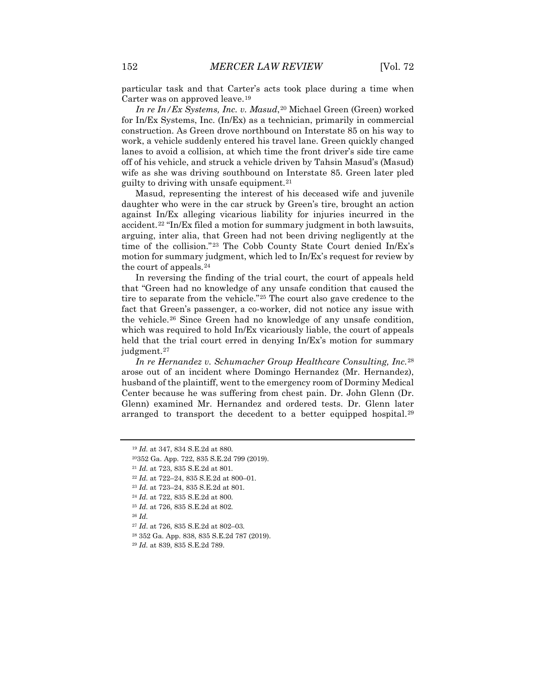particular task and that Carter's acts took place during a time when Carter was on approved leave.[19](#page-4-0)

*In re In/Ex Systems, Inc. v. Masud,*<sup>[20](#page-4-1)</sup> Michael Green (Green) worked for In/Ex Systems, Inc. (In/Ex) as a technician, primarily in commercial construction. As Green drove northbound on Interstate 85 on his way to work, a vehicle suddenly entered his travel lane. Green quickly changed lanes to avoid a collision, at which time the front driver's side tire came off of his vehicle, and struck a vehicle driven by Tahsin Masud's (Masud) wife as she was driving southbound on Interstate 85. Green later pled guilty to driving with unsafe equipment.[21](#page-4-2)

Masud, representing the interest of his deceased wife and juvenile daughter who were in the car struck by Green's tire, brought an action against In/Ex alleging vicarious liability for injuries incurred in the accident.[22](#page-4-3) "In/Ex filed a motion for summary judgment in both lawsuits, arguing, inter alia, that Green had not been driving negligently at the time of the collision."[23](#page-4-4) The Cobb County State Court denied In/Ex's motion for summary judgment, which led to In/Ex's request for review by the court of appeals.[24](#page-4-5)

In reversing the finding of the trial court, the court of appeals held that "Green had no knowledge of any unsafe condition that caused the tire to separate from the vehicle."[25](#page-4-6) The court also gave credence to the fact that Green's passenger, a co-worker, did not notice any issue with the vehicle.[26](#page-4-7) Since Green had no knowledge of any unsafe condition, which was required to hold In/Ex vicariously liable, the court of appeals held that the trial court erred in denying In/Ex's motion for summary judgment.[27](#page-4-8)

*In re Hernandez v. Schumacher Group Healthcare Consulting, Inc.*[28](#page-4-9) arose out of an incident where Domingo Hernandez (Mr. Hernandez), husband of the plaintiff, went to the emergency room of Dorminy Medical Center because he was suffering from chest pain. Dr. John Glenn (Dr. Glenn) examined Mr. Hernandez and ordered tests. Dr. Glenn later arranged to transport the decedent to a better equipped hospital.[29](#page-4-10)

<sup>19</sup> *Id.* at 347, 834 S.E.2d at 880.

<span id="page-4-1"></span><span id="page-4-0"></span><sup>20352</sup> Ga. App. 722, 835 S.E.2d 799 (2019).

<span id="page-4-2"></span><sup>21</sup> *Id.* at 723, 835 S.E.2d at 801.

<span id="page-4-3"></span><sup>22</sup> *Id.* at 722–24, 835 S.E.2d at 800–01.

<span id="page-4-4"></span><sup>23</sup> *Id.* at 723–24, 835 S.E.2d at 801.

<sup>24</sup> *Id.* at 722, 835 S.E.2d at 800.

<sup>25</sup> *Id.* at 726, 835 S.E.2d at 802.

<span id="page-4-9"></span><span id="page-4-8"></span><span id="page-4-7"></span><span id="page-4-6"></span><span id="page-4-5"></span><sup>26</sup> *Id.*

<sup>27</sup> *Id*. at 726, 835 S.E.2d at 802–03.

<sup>28</sup> 352 Ga. App. 838, 835 S.E.2d 787 (2019).

<span id="page-4-10"></span><sup>29</sup> *Id.* at 839, 835 S.E.2d 789.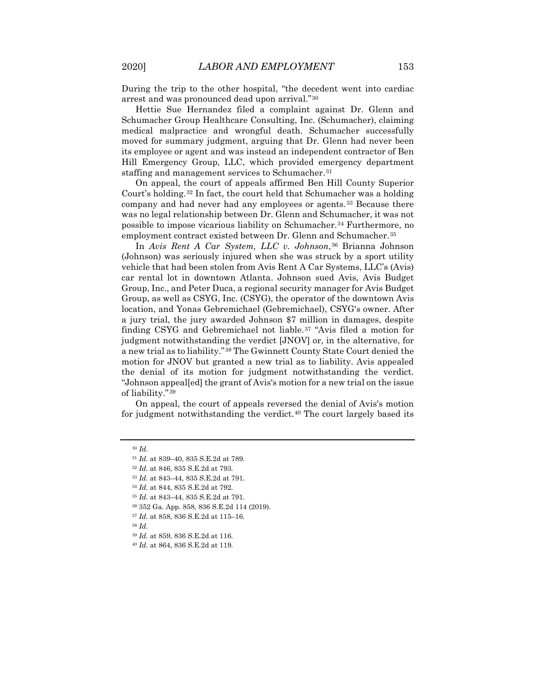During the trip to the other hospital, "the decedent went into cardiac arrest and was pronounced dead upon arrival."[30](#page-5-0)

Hettie Sue Hernandez filed a complaint against Dr. Glenn and Schumacher Group Healthcare Consulting, Inc. (Schumacher), claiming medical malpractice and wrongful death. Schumacher successfully moved for summary judgment, arguing that Dr. Glenn had never been its employee or agent and was instead an independent contractor of Ben Hill Emergency Group, LLC, which provided emergency department staffing and management services to Schumacher.<sup>[31](#page-5-1)</sup>

On appeal, the court of appeals affirmed Ben Hill County Superior Court's holding.[32](#page-5-2) In fact, the court held that Schumacher was a holding company and had never had any employees or agents.<sup>[33](#page-5-3)</sup> Because there was no legal relationship between Dr. Glenn and Schumacher, it was not possible to impose vicarious liability on Schumacher.[34](#page-5-4) Furthermore, no employment contract existed between Dr. Glenn and Schumacher.<sup>[35](#page-5-5)</sup>

In *Avis Rent A Car System, LLC v. Johnson*,[36](#page-5-6) Brianna Johnson (Johnson) was seriously injured when she was struck by a sport utility vehicle that had been stolen from Avis Rent A Car Systems, LLC's (Avis) car rental lot in downtown Atlanta. Johnson sued Avis, Avis Budget Group, Inc., and Peter Duca, a regional security manager for Avis Budget Group, as well as CSYG, Inc. (CSYG), the operator of the downtown Avis location, and Yonas Gebremichael (Gebremichael), CSYG's owner. After a jury trial, the jury awarded Johnson \$7 million in damages, despite finding CSYG and Gebremichael not liable.[37](#page-5-7) "Avis filed a motion for judgment notwithstanding the verdict [JNOV] or, in the alternative, for a new trial as to liability."[38](#page-5-8) The Gwinnett County State Court denied the motion for JNOV but granted a new trial as to liability. Avis appealed the denial of its motion for judgment notwithstanding the verdict. "Johnson appeal[ed] the grant of Avis's motion for a new trial on the issue of liability."[39](#page-5-9)

On appeal, the court of appeals reversed the denial of Avis's motion for judgment notwithstanding the verdict.<sup>40</sup> The court largely based its

<span id="page-5-9"></span><span id="page-5-8"></span><sup>38</sup> *Id.*

<span id="page-5-2"></span><span id="page-5-1"></span><span id="page-5-0"></span><sup>30</sup> *Id.*

<sup>31</sup> *Id.* at 839–40, 835 S.E.2d at 789.

<sup>32</sup> *Id.* at 846, 835 S.E.2d at 793.

<span id="page-5-4"></span><span id="page-5-3"></span><sup>33</sup> *Id.* at 843–44, 835 S.E.2d at 791.

<sup>34</sup> *Id.* at 844, 835 S.E.2d at 792.

<span id="page-5-5"></span><sup>35</sup> *Id.* at 843–44, 835 S.E.2d at 791.

<sup>36</sup> 352 Ga. App. 858, 836 S.E.2d 114 (2019).

<span id="page-5-7"></span><span id="page-5-6"></span><sup>37</sup> *Id.* at 858, 836 S.E.2d at 115–16.

<sup>39</sup> *Id.* at 859, 836 S.E.2d at 116.

<span id="page-5-10"></span><sup>40</sup> *Id.* at 864, 836 S.E.2d at 119.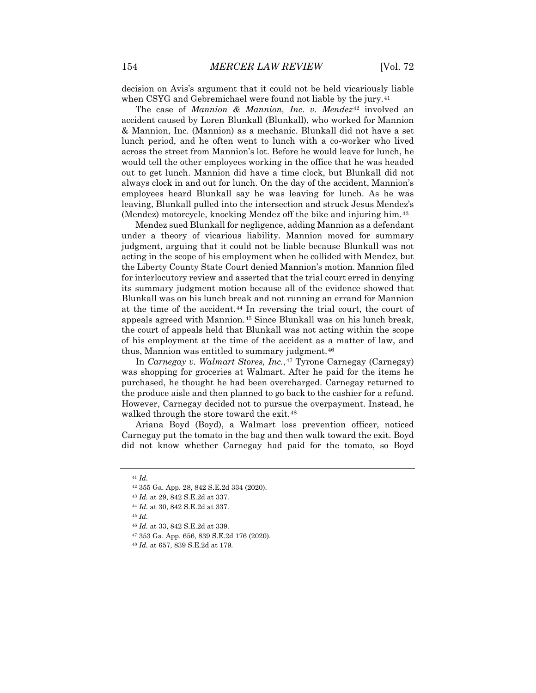decision on Avis's argument that it could not be held vicariously liable when CSYG and Gebremichael were found not liable by the jury.<sup>[41](#page-6-0)</sup>

The case of *Mannion & Mannion, Inc. v. Mendez*[42](#page-6-1) involved an accident caused by Loren Blunkall (Blunkall), who worked for Mannion & Mannion, Inc. (Mannion) as a mechanic. Blunkall did not have a set lunch period, and he often went to lunch with a co-worker who lived across the street from Mannion's lot. Before he would leave for lunch, he would tell the other employees working in the office that he was headed out to get lunch. Mannion did have a time clock, but Blunkall did not always clock in and out for lunch. On the day of the accident, Mannion's employees heard Blunkall say he was leaving for lunch. As he was leaving, Blunkall pulled into the intersection and struck Jesus Mendez's (Mendez) motorcycle, knocking Mendez off the bike and injuring him.[43](#page-6-2)

Mendez sued Blunkall for negligence, adding Mannion as a defendant under a theory of vicarious liability. Mannion moved for summary judgment, arguing that it could not be liable because Blunkall was not acting in the scope of his employment when he collided with Mendez, but the Liberty County State Court denied Mannion's motion. Mannion filed for interlocutory review and asserted that the trial court erred in denying its summary judgment motion because all of the evidence showed that Blunkall was on his lunch break and not running an errand for Mannion at the time of the accident.[44](#page-6-3) In reversing the trial court, the court of appeals agreed with Mannion.[45](#page-6-4) Since Blunkall was on his lunch break, the court of appeals held that Blunkall was not acting within the scope of his employment at the time of the accident as a matter of law, and thus, Mannion was entitled to summary judgment.<sup>[46](#page-6-5)</sup>

In *Carnegay v. Walmart Stores, Inc.*,[47](#page-6-6) Tyrone Carnegay (Carnegay) was shopping for groceries at Walmart. After he paid for the items he purchased, he thought he had been overcharged. Carnegay returned to the produce aisle and then planned to go back to the cashier for a refund. However, Carnegay decided not to pursue the overpayment. Instead, he walked through the store toward the exit.<sup>[48](#page-6-7)</sup>

Ariana Boyd (Boyd), a Walmart loss prevention officer, noticed Carnegay put the tomato in the bag and then walk toward the exit. Boyd did not know whether Carnegay had paid for the tomato, so Boyd

<span id="page-6-1"></span><span id="page-6-0"></span><sup>41</sup> *Id.*

<sup>42</sup> 355 Ga. App. 28, 842 S.E.2d 334 (2020).

<span id="page-6-2"></span><sup>43</sup> *Id.* at 29, 842 S.E.2d at 337.

<sup>44</sup> *Id.* at 30, 842 S.E.2d at 337.

<span id="page-6-6"></span><span id="page-6-5"></span><span id="page-6-4"></span><span id="page-6-3"></span><sup>45</sup> *Id.*

<sup>46</sup> *Id.* at 33, 842 S.E.2d at 339.

<sup>47</sup> 353 Ga. App. 656, 839 S.E.2d 176 (2020).

<span id="page-6-7"></span><sup>48</sup> *Id.* at 657, 839 S.E.2d at 179.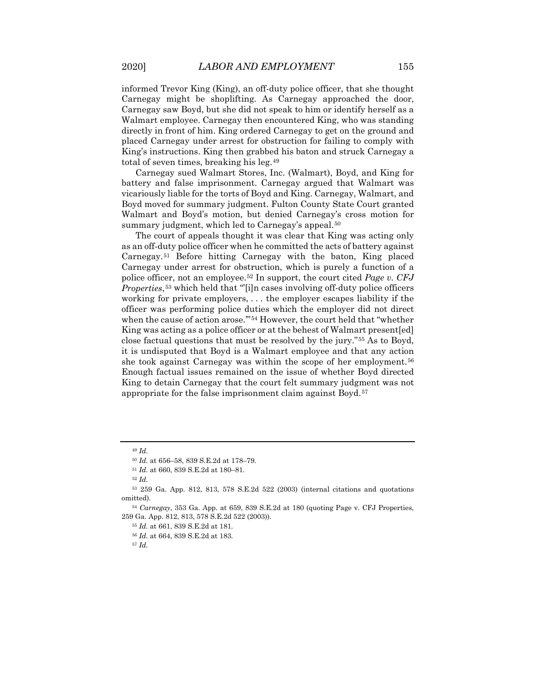informed Trevor King (King), an off-duty police officer, that she thought Carnegay might be shoplifting. As Carnegay approached the door, Carnegay saw Boyd, but she did not speak to him or identify herself as a Walmart employee. Carnegay then encountered King, who was standing directly in front of him. King ordered Carnegay to get on the ground and placed Carnegay under arrest for obstruction for failing to comply with King's instructions. King then grabbed his baton and struck Carnegay a total of seven times, breaking his leg.[49](#page-7-0)

Carnegay sued Walmart Stores, Inc. (Walmart), Boyd, and King for battery and false imprisonment. Carnegay argued that Walmart was vicariously liable for the torts of Boyd and King. Carnegay, Walmart, and Boyd moved for summary judgment. Fulton County State Court granted Walmart and Boyd's motion, but denied Carnegay's cross motion for summary judgment, which led to Carnegay's appeal.<sup>[50](#page-7-1)</sup>

The court of appeals thought it was clear that King was acting only as an off-duty police officer when he committed the acts of battery against Carnegay.[51](#page-7-2) Before hitting Carnegay with the baton, King placed Carnegay under arrest for obstruction, which is purely a function of a police officer, not an employee.[52](#page-7-3) In support, the court cited *Page v. CFJ Properties*,<sup>[53](#page-7-4)</sup> which held that "[i]n cases involving off-duty police officers working for private employers, . . . the employer escapes liability if the officer was performing police duties which the employer did not direct when the cause of action arose."<sup>[54](#page-7-5)</sup> However, the court held that "whether King was acting as a police officer or at the behest of Walmart present[ed] close factual questions that must be resolved by the jury."[55](#page-7-6) As to Boyd, it is undisputed that Boyd is a Walmart employee and that any action she took against Carnegay was within the scope of her employment.<sup>[56](#page-7-7)</sup> Enough factual issues remained on the issue of whether Boyd directed King to detain Carnegay that the court felt summary judgment was not appropriate for the false imprisonment claim against Boyd.[57](#page-7-8)

<sup>49</sup> *Id.*

<sup>50</sup> *Id.* at 656–58, 839 S.E.2d at 178–79.

<sup>51</sup> *Id.* at 660, 839 S.E.2d at 180–81.

<sup>52</sup> *Id.*

<span id="page-7-4"></span><span id="page-7-3"></span><span id="page-7-2"></span><span id="page-7-1"></span><span id="page-7-0"></span><sup>53</sup> 259 Ga. App. 812, 813, 578 S.E.2d 522 (2003) (internal citations and quotations omitted).

<span id="page-7-8"></span><span id="page-7-7"></span><span id="page-7-6"></span><span id="page-7-5"></span><sup>54</sup> *Carnegay*, 353 Ga. App. at 659, 839 S.E.2d at 180 (quoting Page v. CFJ Properties, 259 Ga. App. 812, 813, 578 S.E.2d 522 (2003)).

<sup>55</sup> *Id.* at 661, 839 S.E.2d at 181.

<sup>56</sup> *Id.* at 664, 839 S.E.2d at 183.

<sup>57</sup> *Id.*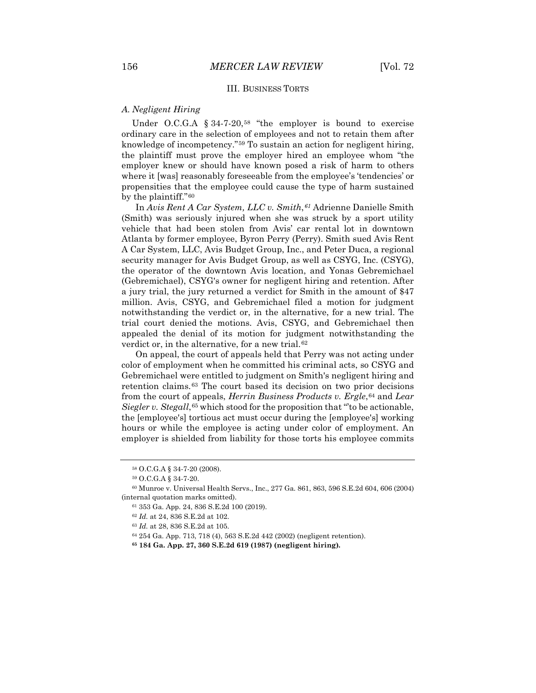### III. BUSINESS TORTS

#### *A. Negligent Hiring*

Under O.C.G.A  $§$  34-7-20,<sup>[58](#page-8-0)</sup> "the employer is bound to exercise ordinary care in the selection of employees and not to retain them after knowledge of incompetency."[59](#page-8-1) To sustain an action for negligent hiring, the plaintiff must prove the employer hired an employee whom "the employer knew or should have known posed a risk of harm to others where it [was] reasonably foreseeable from the employee's 'tendencies' or propensities that the employee could cause the type of harm sustained by the plaintiff."[60](#page-8-2)

In *Avis Rent A Car System, LLC v. Smith*,*[61](#page-8-3)* Adrienne Danielle Smith (Smith) was seriously injured when she was struck by a sport utility vehicle that had been stolen from Avis' car rental lot in downtown Atlanta by former employee, Byron Perry (Perry). Smith sued Avis Rent A Car System, LLC, Avis Budget Group, Inc., and Peter Duca, a regional security manager for Avis Budget Group, as well as CSYG, Inc. (CSYG), the operator of the downtown Avis location, and Yonas Gebremichael (Gebremichael), CSYG's owner for negligent hiring and retention. After a jury trial, the jury returned a verdict for Smith in the amount of \$47 million. Avis, CSYG, and Gebremichael filed a motion for judgment notwithstanding the verdict or, in the alternative, for a new trial. The trial court denied the motions. Avis, CSYG, and Gebremichael then appealed the denial of its motion for judgment notwithstanding the verdict or, in the alternative, for a new trial.<sup>[62](#page-8-4)</sup>

On appeal, the court of appeals held that Perry was not acting under color of employment when he committed his criminal acts, so CSYG and Gebremichael were entitled to judgment on Smith's negligent hiring and retention claims.[63](#page-8-5) The court based its decision on two prior decisions from the court of appeals, *Herrin Business Products v. Ergle*,[64](#page-8-6) and *Lear Siegler v. Stegall*,<sup>[65](#page-8-7)</sup> which stood for the proposition that "to be actionable, the [employee's] tortious act must occur during the [employee's] working hours or while the employee is acting under color of employment. An employer is shielded from liability for those torts his employee commits

<sup>58</sup> O.C.G.A § 34-7-20 (2008).

<sup>59</sup> O.C.G.A § 34-7-20.

<span id="page-8-6"></span><span id="page-8-5"></span><span id="page-8-4"></span><span id="page-8-3"></span><span id="page-8-2"></span><span id="page-8-1"></span><span id="page-8-0"></span><sup>60</sup> Munroe v. Universal Health Servs., Inc., 277 Ga. 861, 863, 596 S.E.2d 604, 606 (2004) (internal quotation marks omitted).

<sup>61</sup> 353 Ga. App. 24, 836 S.E.2d 100 (2019).

<sup>62</sup> *Id.* at 24, 836 S.E.2d at 102.

<sup>63</sup> *Id.* at 28, 836 S.E.2d at 105.

<sup>64</sup> 254 Ga. App. 713, 718 (4), 563 S.E.2d 442 (2002) (negligent retention).

<span id="page-8-7"></span>**<sup>65</sup> 184 Ga. App. 27, 360 S.E.2d 619 (1987) (negligent hiring).**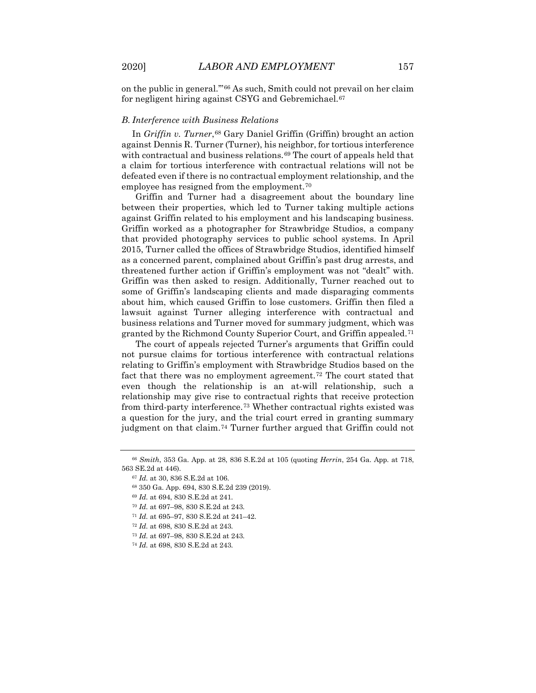on the public in general.'"[66](#page-9-0) As such, Smith could not prevail on her claim for negligent hiring against CSYG and Gebremichael.<sup>[67](#page-9-1)</sup>

#### *B. Interference with Business Relations*

In *Griffin v. Turner*,<sup>[68](#page-9-2)</sup> Gary Daniel Griffin (Griffin) brought an action against Dennis R. Turner (Turner), his neighbor, for tortious interference with contractual and business relations.<sup>[69](#page-9-3)</sup> The court of appeals held that a claim for tortious interference with contractual relations will not be defeated even if there is no contractual employment relationship, and the employee has resigned from the employment.<sup>[70](#page-9-4)</sup>

Griffin and Turner had a disagreement about the boundary line between their properties, which led to Turner taking multiple actions against Griffin related to his employment and his landscaping business. Griffin worked as a photographer for Strawbridge Studios, a company that provided photography services to public school systems. In April 2015, Turner called the offices of Strawbridge Studios, identified himself as a concerned parent, complained about Griffin's past drug arrests, and threatened further action if Griffin's employment was not "dealt" with. Griffin was then asked to resign. Additionally, Turner reached out to some of Griffin's landscaping clients and made disparaging comments about him, which caused Griffin to lose customers. Griffin then filed a lawsuit against Turner alleging interference with contractual and business relations and Turner moved for summary judgment, which was granted by the Richmond County Superior Court, and Griffin appealed.[71](#page-9-5)

The court of appeals rejected Turner's arguments that Griffin could not pursue claims for tortious interference with contractual relations relating to Griffin's employment with Strawbridge Studios based on the fact that there was no employment agreement.[72](#page-9-6) The court stated that even though the relationship is an at-will relationship, such a relationship may give rise to contractual rights that receive protection from third-party interference.[73](#page-9-7) Whether contractual rights existed was a question for the jury, and the trial court erred in granting summary judgment on that claim.<sup>[74](#page-9-8)</sup> Turner further argued that Griffin could not

- <sup>72</sup> *Id.* at 698, 830 S.E.2d at 243.
- <sup>73</sup> *Id.* at 697–98, 830 S.E.2d at 243.

<span id="page-9-4"></span><span id="page-9-3"></span><span id="page-9-2"></span><span id="page-9-1"></span><span id="page-9-0"></span><sup>66</sup> *Smith*, 353 Ga. App. at 28, 836 S.E.2d at 105 (quoting *Herrin*, 254 Ga. App. at 718, 563 SE.2d at 446).

<sup>67</sup> *Id.* at 30, 836 S.E.2d at 106.

<sup>68</sup> 350 Ga. App. 694, 830 S.E.2d 239 (2019).

<sup>69</sup> *Id.* at 694, 830 S.E.2d at 241.

<sup>70</sup> *Id.* at 697–98, 830 S.E.2d at 243.

<span id="page-9-6"></span><span id="page-9-5"></span><sup>71</sup> *Id.* at 695–97, 830 S.E.2d at 241–42.

<span id="page-9-8"></span><span id="page-9-7"></span><sup>74</sup> *Id.* at 698, 830 S.E.2d at 243.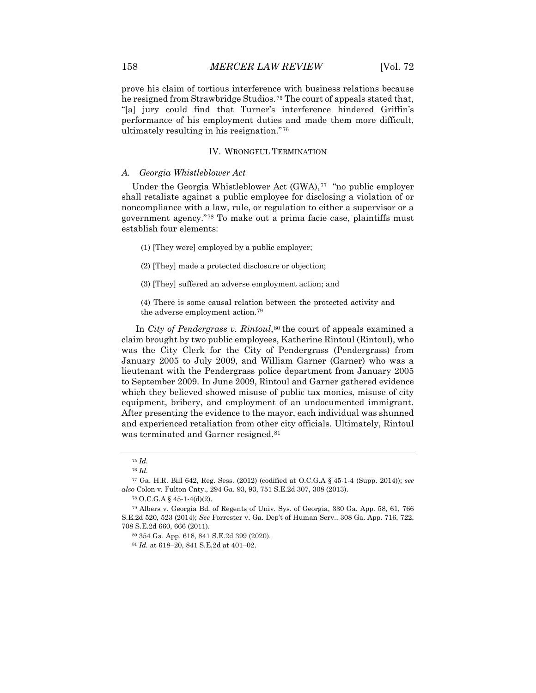prove his claim of tortious interference with business relations because he resigned from Strawbridge Studios.[75](#page-10-0) The court of appeals stated that, "[a] jury could find that Turner's interference hindered Griffin's performance of his employment duties and made them more difficult, ultimately resulting in his resignation."[76](#page-10-1)

#### IV. WRONGFUL TERMINATION

#### *A. Georgia Whistleblower Act*

Under the Georgia Whistleblower Act (GWA),<sup>[77](#page-10-2)</sup> "no public employer shall retaliate against a public employee for disclosing a violation of or noncompliance with a law, rule, or regulation to either a supervisor or a government agency."[78](#page-10-3) To make out a prima facie case, plaintiffs must establish four elements:

- (1) [They were] employed by a public employer;
- (2) [They] made a protected disclosure or objection;
- (3) [They] suffered an adverse employment action; and

(4) There is some causal relation between the protected activity and the adverse employment action.[79](#page-10-4)

In *City of Pendergrass v. Rintoul*,<sup>[80](#page-10-5)</sup> the court of appeals examined a claim brought by two public employees, Katherine Rintoul (Rintoul), who was the City Clerk for the City of Pendergrass (Pendergrass) from January 2005 to July 2009, and William Garner (Garner) who was a lieutenant with the Pendergrass police department from January 2005 to September 2009. In June 2009, Rintoul and Garner gathered evidence which they believed showed misuse of public tax monies, misuse of city equipment, bribery, and employment of an undocumented immigrant. After presenting the evidence to the mayor, each individual was shunned and experienced retaliation from other city officials. Ultimately, Rintoul was terminated and Garner resigned.<sup>[81](#page-10-6)</sup>

<sup>75</sup> *Id.*

<sup>76</sup> *Id.*

<span id="page-10-2"></span><span id="page-10-1"></span><span id="page-10-0"></span><sup>77</sup> Ga. H.R. Bill 642, Reg. Sess. (2012) (codified at O.C.G.A § 45-1-4 (Supp. 2014)); *see also* Colon v. Fulton Cnty., 294 Ga. 93, 93, 751 S.E.2d 307, 308 (2013).

<sup>78</sup> O.C.G.A § 45-1-4(d)(2).

<span id="page-10-6"></span><span id="page-10-5"></span><span id="page-10-4"></span><span id="page-10-3"></span><sup>79</sup> Albers v. Georgia Bd. of Regents of Univ. Sys. of Georgia, 330 Ga. App. 58, 61, 766 S.E.2d 520, 523 (2014); *See* Forrester v. Ga. Dep't of Human Serv., 308 Ga. App. 716, 722, 708 S.E.2d 660, 666 (2011).

<sup>80</sup> 354 Ga. App. 618, 841 S.E.2d 399 (2020).

<sup>81</sup> *Id.* at 618–20, 841 S.E.2d at 401–02.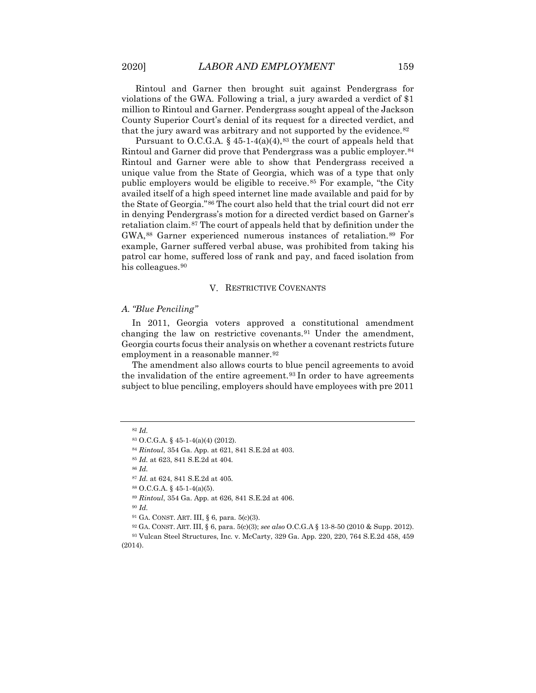Rintoul and Garner then brought suit against Pendergrass for violations of the GWA. Following a trial, a jury awarded a verdict of \$1 million to Rintoul and Garner. Pendergrass sought appeal of the Jackson County Superior Court's denial of its request for a directed verdict, and that the jury award was arbitrary and not supported by the evidence.<sup>[82](#page-11-0)</sup>

Pursuant to O.C.G.A.  $\S$  45-1-4(a)(4),<sup>[83](#page-11-1)</sup> the court of appeals held that Rintoul and Garner did prove that Pendergrass was a public employer.<sup>[84](#page-11-2)</sup> Rintoul and Garner were able to show that Pendergrass received a unique value from the State of Georgia, which was of a type that only public employers would be eligible to receive.<sup>[85](#page-11-3)</sup> For example, "the City availed itself of a high speed internet line made available and paid for by the State of Georgia."[86](#page-11-4) The court also held that the trial court did not err in denying Pendergrass's motion for a directed verdict based on Garner's retaliation claim.[87](#page-11-5) The court of appeals held that by definition under the GWA,[88](#page-11-6) Garner experienced numerous instances of retaliation.[89](#page-11-7) For example, Garner suffered verbal abuse, was prohibited from taking his patrol car home, suffered loss of rank and pay, and faced isolation from his colleagues.<sup>[90](#page-11-8)</sup>

#### V. RESTRICTIVE COVENANTS

#### *A. "Blue Penciling"*

In 2011, Georgia voters approved a constitutional amendment changing the law on restrictive covenants.[91](#page-11-9) Under the amendment, Georgia courts focus their analysis on whether a covenant restricts future employment in a reasonable manner.<sup>[92](#page-11-10)</sup>

The amendment also allows courts to blue pencil agreements to avoid the invalidation of the entire agreement.<sup>[93](#page-11-11)</sup> In order to have agreements subject to blue penciling, employers should have employees with pre 2011

<span id="page-11-4"></span><sup>86</sup> *Id.*

<sup>90</sup> *Id.*

<sup>92</sup> GA. CONST. ART. III, § 6, para. 5(c)(3); *see also* O.C.G.A § 13-8-50 (2010 & Supp. 2012).

<span id="page-11-11"></span><span id="page-11-10"></span><span id="page-11-9"></span><span id="page-11-8"></span><span id="page-11-7"></span><span id="page-11-6"></span><sup>93</sup> Vulcan Steel Structures, Inc*.* v. McCarty, 329 Ga. App. 220, 220, 764 S.E.2d 458, 459 (2014).

<span id="page-11-2"></span><span id="page-11-1"></span><span id="page-11-0"></span><sup>82</sup> *Id.*

<sup>83</sup> O.C.G.A. § 45-1-4(a)(4) (2012).

<sup>84</sup> *Rintoul*, 354 Ga. App. at 621, 841 S.E.2d at 403.

<span id="page-11-3"></span><sup>85</sup> *Id.* at 623, 841 S.E.2d at 404.

<span id="page-11-5"></span><sup>87</sup> *Id.* at 624, 841 S.E.2d at 405.

<sup>88</sup> O.C.G.A. § 45-1-4(a)(5).

<sup>89</sup> *Rintoul*, 354 Ga. App. at 626, 841 S.E.2d at 406.

<sup>91</sup> GA. CONST. ART. III, § 6, para. 5(c)(3).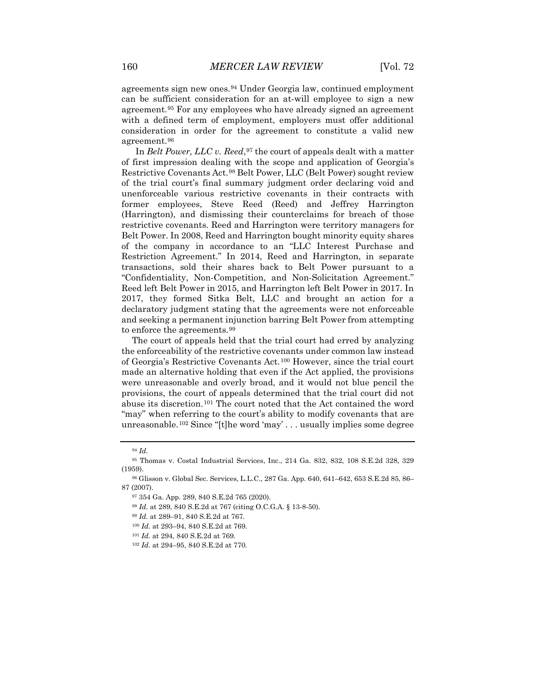agreements sign new ones.[94](#page-12-0) Under Georgia law, continued employment can be sufficient consideration for an at-will employee to sign a new agreement.[95](#page-12-1) For any employees who have already signed an agreement with a defined term of employment, employers must offer additional consideration in order for the agreement to constitute a valid new agreement.[96](#page-12-2)

In *Belt Power, LLC v. Reed*, <sup>[97](#page-12-3)</sup> the court of appeals dealt with a matter of first impression dealing with the scope and application of Georgia's Restrictive Covenants Act.[98](#page-12-4) Belt Power, LLC (Belt Power) sought review of the trial court's final summary judgment order declaring void and unenforceable various restrictive covenants in their contracts with former employees, Steve Reed (Reed) and Jeffrey Harrington (Harrington), and dismissing their counterclaims for breach of those restrictive covenants. Reed and Harrington were territory managers for Belt Power. In 2008, Reed and Harrington bought minority equity shares of the company in accordance to an "LLC Interest Purchase and Restriction Agreement." In 2014, Reed and Harrington, in separate transactions, sold their shares back to Belt Power pursuant to a "Confidentiality, Non-Competition, and Non-Solicitation Agreement." Reed left Belt Power in 2015, and Harrington left Belt Power in 2017. In 2017, they formed Sitka Belt, LLC and brought an action for a declaratory judgment stating that the agreements were not enforceable and seeking a permanent injunction barring Belt Power from attempting to enforce the agreements.[99](#page-12-5)

The court of appeals held that the trial court had erred by analyzing the enforceability of the restrictive covenants under common law instead of Georgia's Restrictive Covenants Act.[100](#page-12-6) However, since the trial court made an alternative holding that even if the Act applied, the provisions were unreasonable and overly broad, and it would not blue pencil the provisions, the court of appeals determined that the trial court did not abuse its discretion.[101](#page-12-7) The court noted that the Act contained the word "may" when referring to the court's ability to modify covenants that are unreasonable.[102](#page-12-8) Since "[t]he word 'may' . . . usually implies some degree

<sup>100</sup> *Id.* at 293–94, 840 S.E.2d at 769.

<sup>94</sup> *Id.*

<span id="page-12-1"></span><span id="page-12-0"></span><sup>95</sup> Thomas v. Costal Industrial Services, Inc., 214 Ga. 832, 832, 108 S.E.2d 328, 329 (1959).

<span id="page-12-6"></span><span id="page-12-5"></span><span id="page-12-4"></span><span id="page-12-3"></span><span id="page-12-2"></span><sup>96</sup> Glisson v. Global Sec. Services, L.L.C., 287 Ga. App. 640, 641–642, 653 S.E.2d 85, 86– 87 (2007).

<sup>97</sup> 354 Ga. App. 289, 840 S.E.2d 765 (2020).

<sup>98</sup> *Id.* at 289, 840 S.E.2d at 767 (citing O.C.G.A. § 13-8-50).

<sup>99</sup> *Id.* at 289–91, 840 S.E.2d at 767.

<span id="page-12-7"></span><sup>101</sup> *Id.* at 294, 840 S.E.2d at 769.

<span id="page-12-8"></span><sup>102</sup> *Id.* at 294–95, 840 S.E.2d at 770.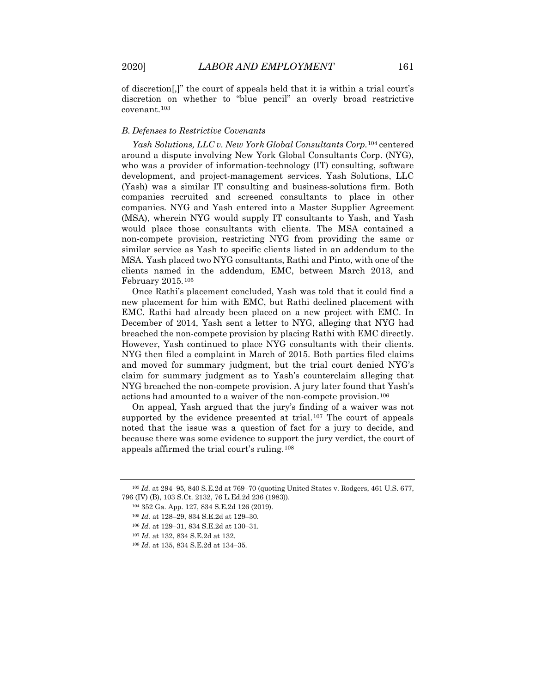of discretion[,]" the court of appeals held that it is within a trial court's discretion on whether to "blue pencil" an overly broad restrictive covenant.[103](#page-13-0)

#### *B. Defenses to Restrictive Covenants*

*Yash Solutions, LLC v. New York Global Consultants Corp.*[104](#page-13-1) centered around a dispute involving New York Global Consultants Corp. (NYG), who was a provider of information-technology (IT) consulting, software development, and project-management services. Yash Solutions, LLC (Yash) was a similar IT consulting and business-solutions firm. Both companies recruited and screened consultants to place in other companies. NYG and Yash entered into a Master Supplier Agreement (MSA), wherein NYG would supply IT consultants to Yash, and Yash would place those consultants with clients. The MSA contained a non-compete provision, restricting NYG from providing the same or similar service as Yash to specific clients listed in an addendum to the MSA. Yash placed two NYG consultants, Rathi and Pinto, with one of the clients named in the addendum, EMC, between March 2013, and February 2015.[105](#page-13-2)

Once Rathi's placement concluded, Yash was told that it could find a new placement for him with EMC, but Rathi declined placement with EMC. Rathi had already been placed on a new project with EMC. In December of 2014, Yash sent a letter to NYG, alleging that NYG had breached the non-compete provision by placing Rathi with EMC directly. However, Yash continued to place NYG consultants with their clients. NYG then filed a complaint in March of 2015. Both parties filed claims and moved for summary judgment, but the trial court denied NYG's claim for summary judgment as to Yash's counterclaim alleging that NYG breached the non-compete provision. A jury later found that Yash's actions had amounted to a waiver of the non-compete provision.[106](#page-13-3)

On appeal, Yash argued that the jury's finding of a waiver was not supported by the evidence presented at trial.<sup>[107](#page-13-4)</sup> The court of appeals noted that the issue was a question of fact for a jury to decide, and because there was some evidence to support the jury verdict, the court of appeals affirmed the trial court's ruling.[108](#page-13-5)

<span id="page-13-4"></span><span id="page-13-3"></span><span id="page-13-2"></span><span id="page-13-1"></span><span id="page-13-0"></span><sup>103</sup> *Id.* at 294–95, 840 S.E.2d at 769–70 (quoting United States v. Rodgers, 461 U.S. 677, 796 (IV) (B), 103 S.Ct. 2132, 76 L.Ed.2d 236 (1983)).

<sup>104</sup> 352 Ga. App. 127, 834 S.E.2d 126 (2019).

<sup>105</sup> *Id.* at 128–29, 834 S.E.2d at 129–30.

<sup>106</sup> *Id.* at 129–31, 834 S.E.2d at 130–31.

<sup>107</sup> *Id.* at 132, 834 S.E.2d at 132.

<span id="page-13-5"></span><sup>108</sup> *Id.* at 135, 834 S.E.2d at 134–35.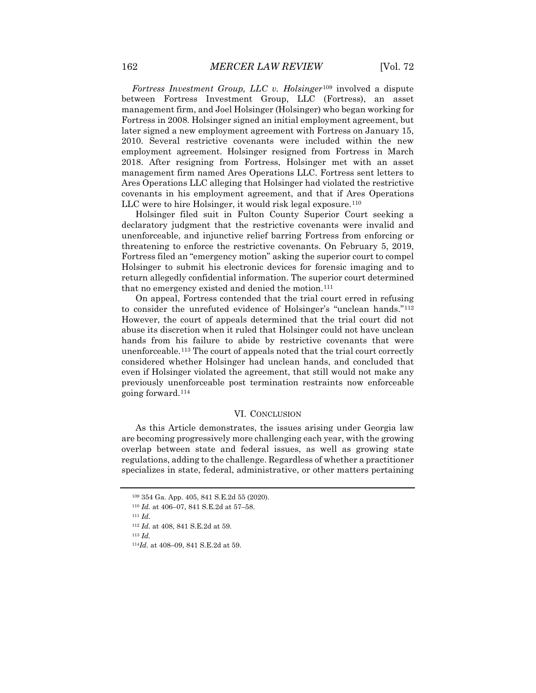*Fortress Investment Group, LLC v. Holsinger*[109](#page-14-0) involved a dispute between Fortress Investment Group, LLC (Fortress), an asset management firm, and Joel Holsinger (Holsinger) who began working for Fortress in 2008. Holsinger signed an initial employment agreement, but later signed a new employment agreement with Fortress on January 15, 2010. Several restrictive covenants were included within the new employment agreement. Holsinger resigned from Fortress in March 2018. After resigning from Fortress, Holsinger met with an asset management firm named Ares Operations LLC. Fortress sent letters to Ares Operations LLC alleging that Holsinger had violated the restrictive covenants in his employment agreement, and that if Ares Operations LLC were to hire Holsinger, it would risk legal exposure.<sup>[110](#page-14-1)</sup>

Holsinger filed suit in Fulton County Superior Court seeking a declaratory judgment that the restrictive covenants were invalid and unenforceable, and injunctive relief barring Fortress from enforcing or threatening to enforce the restrictive covenants. On February 5, 2019, Fortress filed an "emergency motion" asking the superior court to compel Holsinger to submit his electronic devices for forensic imaging and to return allegedly confidential information. The superior court determined that no emergency existed and denied the motion.<sup>[111](#page-14-2)</sup>

On appeal, Fortress contended that the trial court erred in refusing to consider the unrefuted evidence of Holsinger's "unclean hands."[112](#page-14-3) However, the court of appeals determined that the trial court did not abuse its discretion when it ruled that Holsinger could not have unclean hands from his failure to abide by restrictive covenants that were unenforceable.[113](#page-14-4) The court of appeals noted that the trial court correctly considered whether Holsinger had unclean hands, and concluded that even if Holsinger violated the agreement, that still would not make any previously unenforceable post termination restraints now enforceable going forward.[114](#page-14-5)

#### VI. CONCLUSION

As this Article demonstrates, the issues arising under Georgia law are becoming progressively more challenging each year, with the growing overlap between state and federal issues, as well as growing state regulations, adding to the challenge. Regardless of whether a practitioner specializes in state, federal, administrative, or other matters pertaining

<sup>109</sup> 354 Ga. App. 405, 841 S.E.2d 55 (2020).

<span id="page-14-0"></span><sup>110</sup> *Id.* at 406–07, 841 S.E.2d at 57–58.

<span id="page-14-4"></span><span id="page-14-3"></span><span id="page-14-2"></span><span id="page-14-1"></span><sup>111</sup> *Id.*

<sup>112</sup> *Id.* at 408, 841 S.E.2d at 59.

<sup>113</sup> *Id.*

<span id="page-14-5"></span><sup>114</sup>*Id.* at 408–09, 841 S.E.2d at 59.